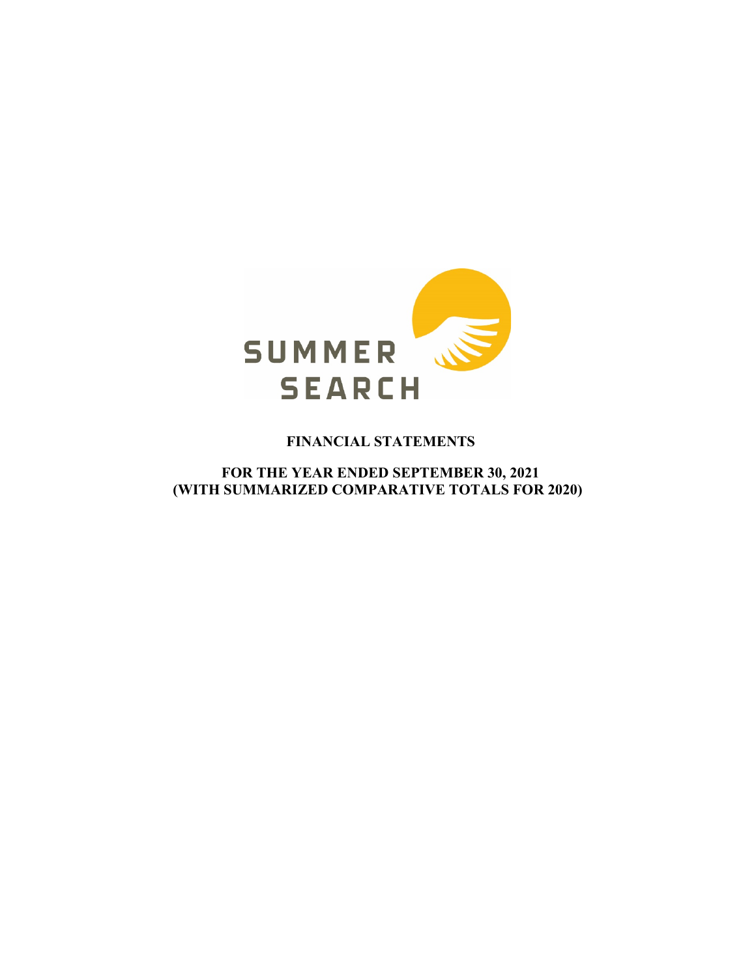

# **FINANCIAL STATEMENTS**

**FOR THE YEAR ENDED SEPTEMBER 30, 2021 (WITH SUMMARIZED COMPARATIVE TOTALS FOR 2020)**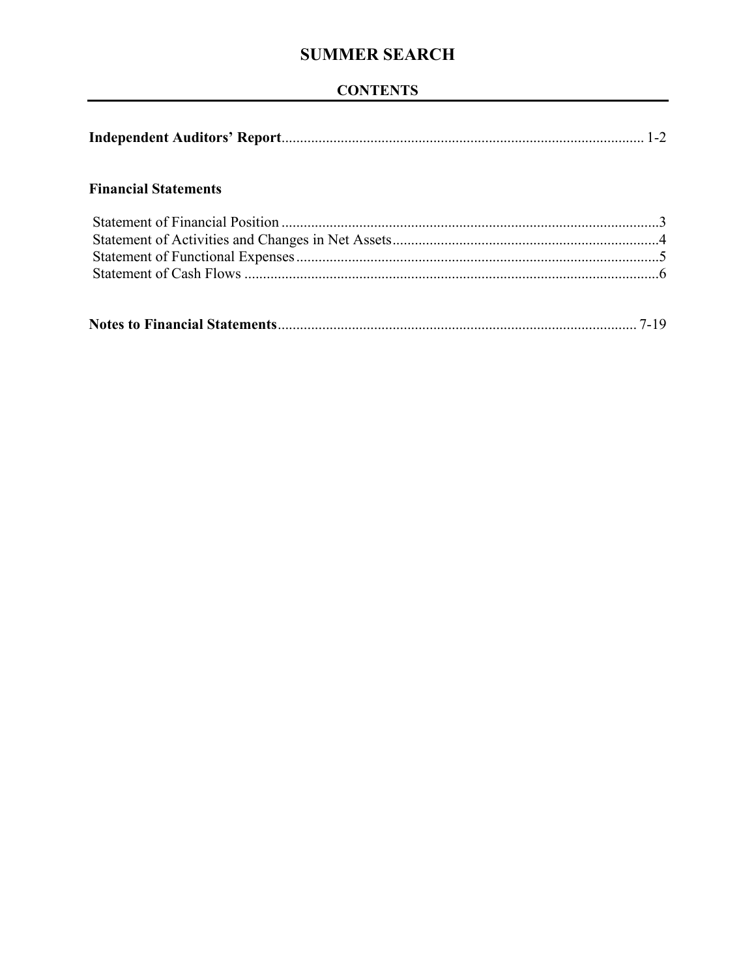# **CONTENTS**

<u> Andrew Alexander (</u>

# **Financial Statements**

|--|--|--|--|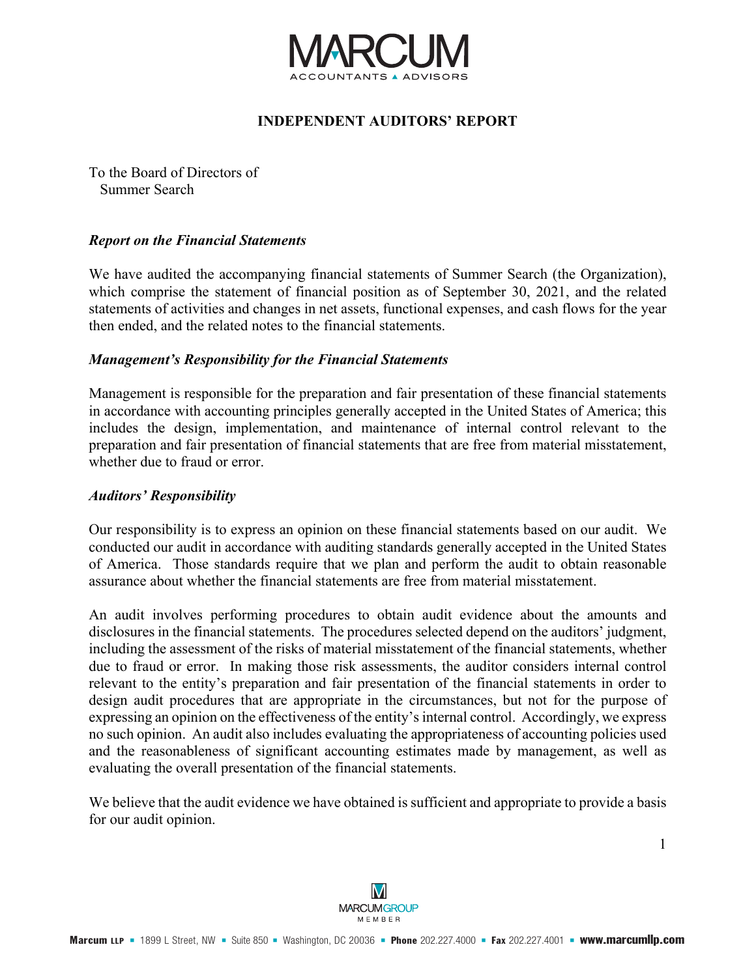

# **INDEPENDENT AUDITORS' REPORT**

To the Board of Directors of Summer Search

#### *Report on the Financial Statements*

We have audited the accompanying financial statements of Summer Search (the Organization), which comprise the statement of financial position as of September 30, 2021, and the related statements of activities and changes in net assets, functional expenses, and cash flows for the year then ended, and the related notes to the financial statements.

#### *Management's Responsibility for the Financial Statements*

Management is responsible for the preparation and fair presentation of these financial statements in accordance with accounting principles generally accepted in the United States of America; this includes the design, implementation, and maintenance of internal control relevant to the preparation and fair presentation of financial statements that are free from material misstatement, whether due to fraud or error.

#### *Auditors' Responsibility*

Our responsibility is to express an opinion on these financial statements based on our audit. We conducted our audit in accordance with auditing standards generally accepted in the United States of America. Those standards require that we plan and perform the audit to obtain reasonable assurance about whether the financial statements are free from material misstatement.

An audit involves performing procedures to obtain audit evidence about the amounts and disclosures in the financial statements. The procedures selected depend on the auditors' judgment, including the assessment of the risks of material misstatement of the financial statements, whether due to fraud or error. In making those risk assessments, the auditor considers internal control relevant to the entity's preparation and fair presentation of the financial statements in order to design audit procedures that are appropriate in the circumstances, but not for the purpose of expressing an opinion on the effectiveness of the entity's internal control. Accordingly, we express no such opinion. An audit also includes evaluating the appropriateness of accounting policies used and the reasonableness of significant accounting estimates made by management, as well as evaluating the overall presentation of the financial statements.

We believe that the audit evidence we have obtained is sufficient and appropriate to provide a basis for our audit opinion.

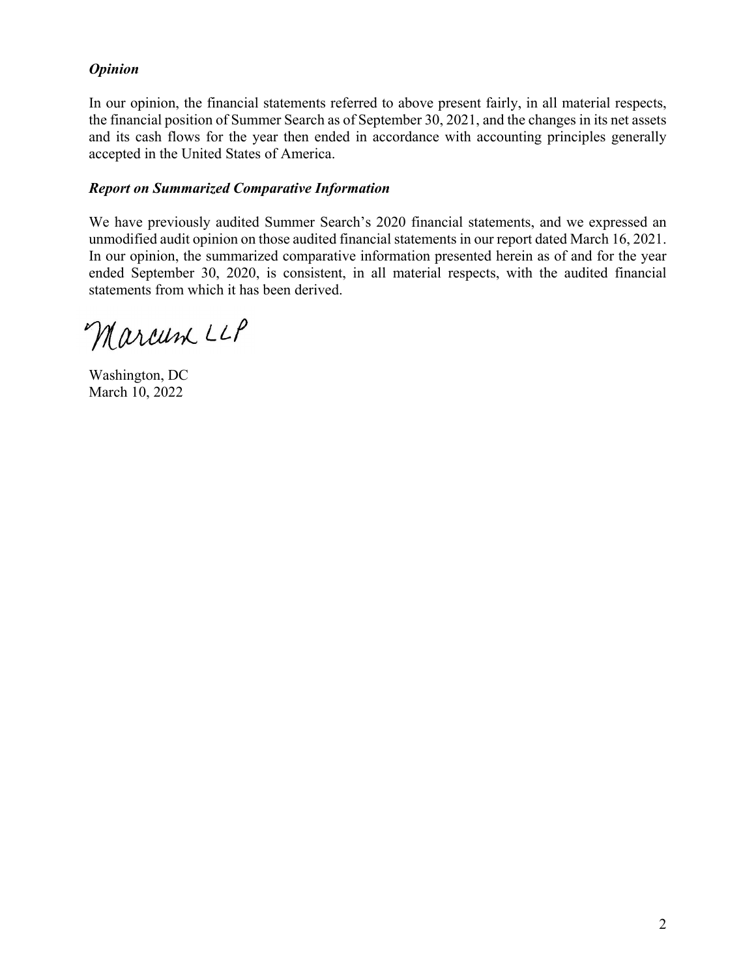# *Opinion*

In our opinion, the financial statements referred to above present fairly, in all material respects, the financial position of Summer Search as of September 30, 2021, and the changes in its net assets and its cash flows for the year then ended in accordance with accounting principles generally accepted in the United States of America.

# *Report on Summarized Comparative Information*

We have previously audited Summer Search's 2020 financial statements, and we expressed an unmodified audit opinion on those audited financial statements in our report dated March 16, 2021. In our opinion, the summarized comparative information presented herein as of and for the year ended September 30, 2020, is consistent, in all material respects, with the audited financial statements from which it has been derived.

Marcum LLP

Washington, DC March 10, 2022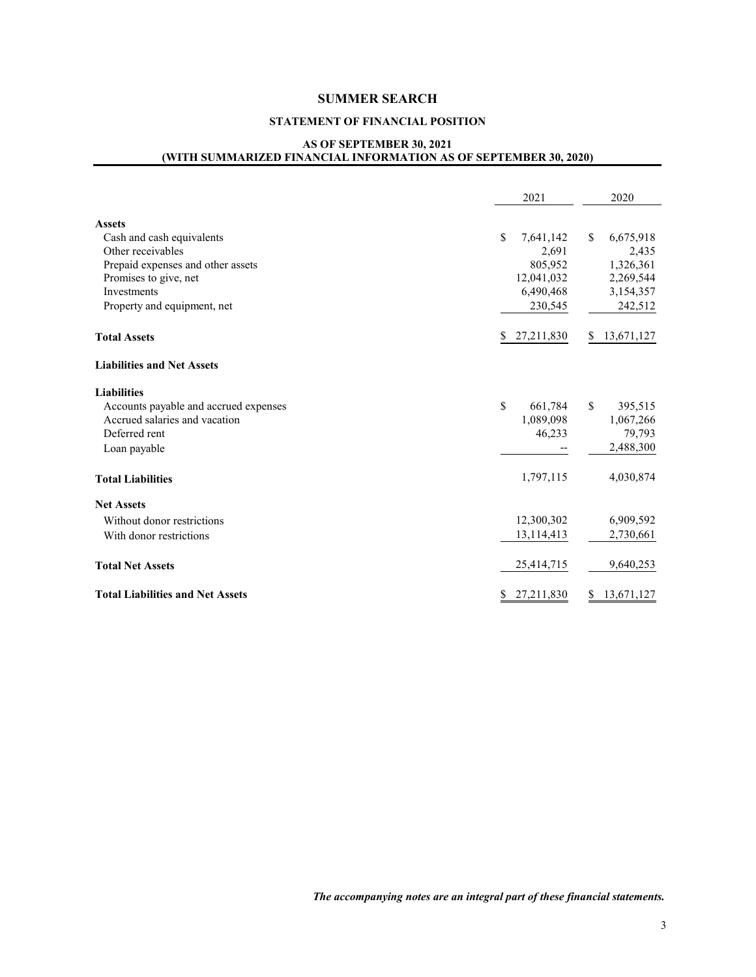# **STATEMENT OF FINANCIAL POSITION**

## **(WITH SUMMARIZED FINANCIAL INFORMATION AS OF SEPTEMBER 30, 2020) AS OF SEPTEMBER 30, 2021**

|                                                                                                                                                                             | 2021                                                                                | 2020                                                                                 |
|-----------------------------------------------------------------------------------------------------------------------------------------------------------------------------|-------------------------------------------------------------------------------------|--------------------------------------------------------------------------------------|
| <b>Assets</b><br>Cash and cash equivalents<br>Other receivables<br>Prepaid expenses and other assets<br>Promises to give, net<br>Investments<br>Property and equipment, net | $\mathbb{S}$<br>7,641,142<br>2,691<br>805,952<br>12,041,032<br>6,490,468<br>230,545 | 6,675,918<br>$\mathbb{S}$<br>2,435<br>1,326,361<br>2,269,544<br>3,154,357<br>242,512 |
| <b>Total Assets</b>                                                                                                                                                         | 27,211,830<br>\$                                                                    | 13,671,127<br>\$                                                                     |
| <b>Liabilities and Net Assets</b>                                                                                                                                           |                                                                                     |                                                                                      |
| <b>Liabilities</b><br>Accounts payable and accrued expenses<br>Accrued salaries and vacation<br>Deferred rent<br>Loan payable                                               | $\mathbb{S}$<br>661,784<br>1,089,098<br>46,233                                      | $\mathbb{S}$<br>395,515<br>1,067,266<br>79,793<br>2,488,300                          |
| <b>Total Liabilities</b>                                                                                                                                                    | 1,797,115                                                                           | 4,030,874                                                                            |
| <b>Net Assets</b><br>Without donor restrictions<br>With donor restrictions                                                                                                  | 12,300,302<br>13,114,413                                                            | 6,909,592<br>2,730,661                                                               |
| <b>Total Net Assets</b>                                                                                                                                                     | 25,414,715                                                                          | 9,640,253                                                                            |
| <b>Total Liabilities and Net Assets</b>                                                                                                                                     | 27,211,830<br>\$                                                                    | 13,671,127<br>\$                                                                     |

*The accompanying notes are an integral part of these financial statements.*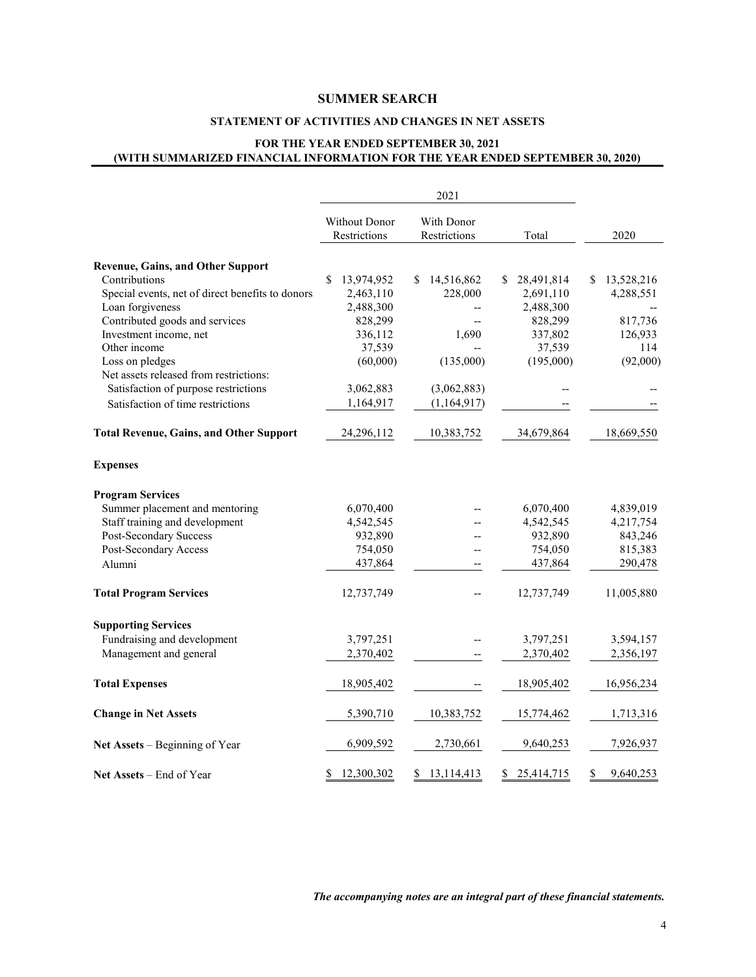# **STATEMENT OF ACTIVITIES AND CHANGES IN NET ASSETS**

# **(WITH SUMMARIZED FINANCIAL INFORMATION FOR THE YEAR ENDED SEPTEMBER 30, 2020) FOR THE YEAR ENDED SEPTEMBER 30, 2021**

|                                                  |                                      | 2021                       |                              |                            |
|--------------------------------------------------|--------------------------------------|----------------------------|------------------------------|----------------------------|
|                                                  | <b>Without Donor</b><br>Restrictions | With Donor<br>Restrictions | Total                        | 2020                       |
| <b>Revenue, Gains, and Other Support</b>         |                                      |                            |                              |                            |
| Contributions                                    | 13,974,952<br>\$                     | 14,516,862<br>$\mathbb{S}$ | 28,491,814<br>$\mathbb{S}$   | 13,528,216<br>$\mathbb{S}$ |
| Special events, net of direct benefits to donors | 2,463,110                            | 228,000                    | 2,691,110                    | 4,288,551                  |
| Loan forgiveness                                 | 2,488,300                            |                            | 2,488,300                    |                            |
| Contributed goods and services                   | 828,299                              |                            | 828,299                      | 817,736                    |
| Investment income, net                           | 336,112                              | 1,690                      | 337,802                      | 126,933                    |
| Other income                                     | 37,539                               |                            | 37,539                       | 114                        |
| Loss on pledges                                  | (60,000)                             | (135,000)                  | (195,000)                    | (92,000)                   |
| Net assets released from restrictions:           |                                      |                            |                              |                            |
| Satisfaction of purpose restrictions             | 3,062,883                            | (3,062,883)                |                              |                            |
| Satisfaction of time restrictions                | 1,164,917                            | (1,164,917)                |                              |                            |
| <b>Total Revenue, Gains, and Other Support</b>   | 24, 296, 112                         | 10,383,752                 | 34,679,864                   | 18,669,550                 |
| <b>Expenses</b>                                  |                                      |                            |                              |                            |
| <b>Program Services</b>                          |                                      |                            |                              |                            |
| Summer placement and mentoring                   | 6,070,400                            |                            | 6,070,400                    | 4,839,019                  |
| Staff training and development                   | 4,542,545                            |                            | 4,542,545                    | 4,217,754                  |
| <b>Post-Secondary Success</b>                    | 932,890                              |                            | 932,890                      | 843,246                    |
| <b>Post-Secondary Access</b>                     | 754,050                              |                            | 754,050                      | 815,383                    |
| Alumni                                           | 437,864                              | --                         | 437,864                      | 290,478                    |
| <b>Total Program Services</b>                    | 12,737,749                           |                            | 12,737,749                   | 11,005,880                 |
| <b>Supporting Services</b>                       |                                      |                            |                              |                            |
| Fundraising and development                      | 3,797,251                            |                            | 3,797,251                    | 3,594,157                  |
| Management and general                           | 2,370,402                            |                            | 2,370,402                    | 2,356,197                  |
| <b>Total Expenses</b>                            | 18,905,402                           |                            | 18,905,402                   | 16,956,234                 |
| <b>Change in Net Assets</b>                      | 5,390,710                            | 10,383,752                 | 15,774,462                   | 1,713,316                  |
| Net Assets – Beginning of Year                   | 6,909,592                            | 2,730,661                  | 9,640,253                    | 7,926,937                  |
| Net Assets – End of Year                         | 12,300,302                           | 13,114,413<br>$\mathbb{S}$ | 25,414,715<br>$\mathbb{S}^-$ | 9,640,253<br>S             |

*The accompanying notes are an integral part of these financial statements.*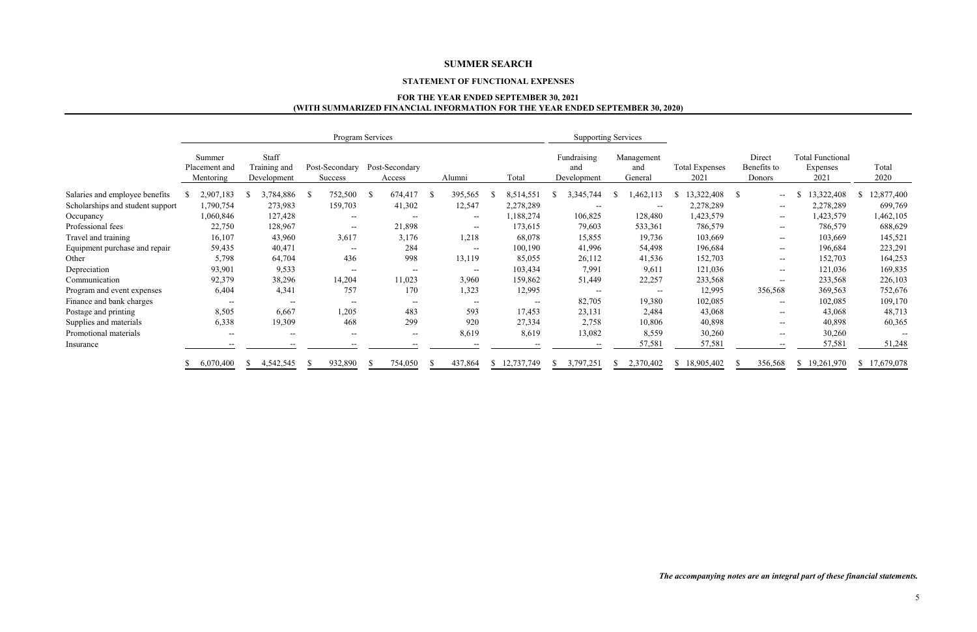*The accompanying notes are an integral part of these financial statements.*

|                                  | Program Services                               |                                                |                                  |                          | <b>Supporting Services</b>  |              |                                   |                              |                               |                                   |                                             |               |
|----------------------------------|------------------------------------------------|------------------------------------------------|----------------------------------|--------------------------|-----------------------------|--------------|-----------------------------------|------------------------------|-------------------------------|-----------------------------------|---------------------------------------------|---------------|
|                                  | Summer<br>Placement and<br>Mentoring           | Staff<br>Training and<br>Development           | Post-Secondary<br><b>Success</b> | Post-Secondary<br>Access | Alumni                      | Total        | Fundraising<br>and<br>Development | Management<br>and<br>General | <b>Total Expenses</b><br>2021 | Direct<br>Benefits to<br>Donors   | <b>Total Functional</b><br>Expenses<br>2021 | Total<br>2020 |
| Salaries and employee benefits   | 2,907,183                                      | 3,784,886                                      | 752,500<br>-S                    | 674,417<br>- 85          | 395,565<br><sup>S</sup>     | 8,514,551    | 3,345,744                         | 1,462,113                    | 13,322,408                    | <sup>S</sup><br>$\qquad \qquad -$ | 13,322,408                                  | 12,877,400    |
| Scholarships and student support | 1,790,754                                      | 273,983                                        | 159,703                          | 41,302                   | 12,547                      | 2,278,289    | $-$                               | $\overline{\phantom{a}}$     | 2,278,289                     | $--$                              | 2,278,289                                   | 699,769       |
| Occupancy                        | 1,060,846                                      | 127,428                                        | $--$                             | $-$                      | $--$                        | 1,188,274    | 106,825                           | 128,480                      | 1,423,579                     | $--$                              | 1,423,579                                   | 1,462,105     |
| Professional fees                | 22,750                                         | 128,967                                        | $\mathcal{L}_{\mathcal{F}}$      | 21,898                   | $\mathcal{L}_{\mathcal{F}}$ | 173,615      | 79,603                            | 533,361                      | 786,579                       | $--$                              | 786,579                                     | 688,629       |
| Travel and training              | 16,107                                         | 43,960                                         | 3,617                            | 3,176                    | 1,218                       | 68,078       | 15,855                            | 19,736                       | 103,669                       | $--$                              | 103,669                                     | 145,521       |
| Equipment purchase and repair    | 59,435                                         | 40,471                                         | $\overline{\phantom{m}}$         | 284                      | $\overline{\phantom{a}}$    | 100,190      | 41,996                            | 54,498                       | 196,684                       | $\qquad \qquad -$                 | 196,684                                     | 223,291       |
| Other                            | 5,798                                          | 64,704                                         | 436                              | 998                      | 13,119                      | 85,055       | 26,112                            | 41,536                       | 152,703                       | $--$                              | 152,703                                     | 164,253       |
| Depreciation                     | 93,901                                         | 9,533                                          | $\sim$                           | $--$                     | $\sim$                      | 103,434      | 7,991                             | 9,611                        | 121,036                       | $--$                              | 121,036                                     | 169,835       |
| Communication                    | 92,379                                         | 38,296                                         | 14,204                           | 11,023                   | 3,960                       | 159,862      | 51,449                            | 22,257                       | 233,568                       | $\qquad \qquad -$                 | 233,568                                     | 226,103       |
| Program and event expenses       | 6,404                                          | 4,341                                          | 757                              | 170                      | 1,323                       | 12,995       | $-$                               | $--$                         | 12,995                        | 356,568                           | 369,563                                     | 752,676       |
| Finance and bank charges         | $- -$                                          | $\hspace{0.1mm}-\hspace{0.1mm}-\hspace{0.1mm}$ | $\sim$ $\sim$                    | $- -$                    | $\sim$                      | $--$         | 82,705                            | 19,380                       | 102,085                       | $--$                              | 102,085                                     | 109,170       |
| Postage and printing             | 8,505                                          | 6,667                                          | 1,205                            | 483                      | 593                         | 17,453       | 23,131                            | 2,484                        | 43,068                        | $--$                              | 43,068                                      | 48,713        |
| Supplies and materials           | 6,338                                          | 19,309                                         | 468                              | 299                      | 920                         | 27,334       | 2,758                             | 10,806                       | 40,898                        | $--$                              | 40,898                                      | 60,365        |
| Promotional materials            | $\hspace{0.1mm}-\hspace{0.1mm}-\hspace{0.1mm}$ | $--$                                           | $--$                             | $-  \,$                  | 8,619                       | 8,619        | 13,082                            | 8,559                        | 30,260                        | $--$                              | 30,260                                      |               |
| Insurance                        | $-$                                            | --                                             |                                  | $-$                      | $\overline{\phantom{a}}$    | $--$         |                                   | 57,581                       | 57,581                        | $-$                               | 57,581                                      | 51,248        |
|                                  | 6,070,400                                      | 4,542,545                                      | 932,890                          | 754,050                  | 437,864                     | \$12,737,749 | 3,797,251                         | 2,370,402                    | \$18,905,402                  | 356,568<br>$\mathcal{P}$          | \$19,261,970                                | \$17,679,078  |

# **SUMMER SEARCH**

# **(WITH SUMMARIZED FINANCIAL INFORMATION FOR THE YEAR ENDED SEPTEMBER 30, 2020) FOR THE YEAR ENDED SEPTEMBER 30, 2021**

# **STATEMENT OF FUNCTIONAL EXPENSES**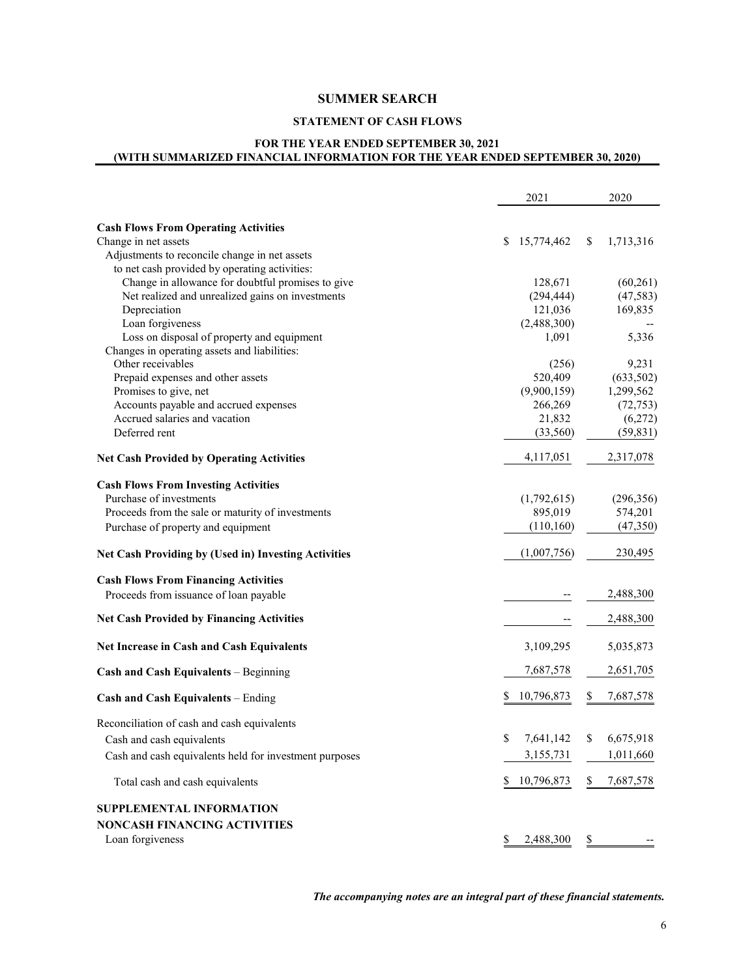# **STATEMENT OF CASH FLOWS**

# **(WITH SUMMARIZED FINANCIAL INFORMATION FOR THE YEAR ENDED SEPTEMBER 30, 2020) FOR THE YEAR ENDED SEPTEMBER 30, 2021**

|                                                             | 2021                       | 2020                      |
|-------------------------------------------------------------|----------------------------|---------------------------|
|                                                             |                            |                           |
| <b>Cash Flows From Operating Activities</b>                 |                            |                           |
| Change in net assets                                        | $\mathbb{S}$<br>15,774,462 | 1,713,316<br>$\mathbb{S}$ |
| Adjustments to reconcile change in net assets               |                            |                           |
| to net cash provided by operating activities:               |                            |                           |
| Change in allowance for doubtful promises to give           | 128,671                    | (60,261)                  |
| Net realized and unrealized gains on investments            | (294, 444)                 | (47,583)                  |
| Depreciation                                                | 121,036                    | 169,835                   |
| Loan forgiveness                                            | (2,488,300)                |                           |
| Loss on disposal of property and equipment                  | 1,091                      | 5,336                     |
| Changes in operating assets and liabilities:                |                            |                           |
| Other receivables                                           | (256)                      | 9,231                     |
| Prepaid expenses and other assets                           | 520,409                    | (633, 502)                |
| Promises to give, net                                       | (9,900,159)                | 1,299,562                 |
| Accounts payable and accrued expenses                       | 266,269                    | (72, 753)                 |
| Accrued salaries and vacation                               | 21,832                     | (6,272)                   |
| Deferred rent                                               | (33,560)                   | (59, 831)                 |
| <b>Net Cash Provided by Operating Activities</b>            | 4,117,051                  | 2,317,078                 |
| <b>Cash Flows From Investing Activities</b>                 |                            |                           |
| Purchase of investments                                     | (1,792,615)                | (296, 356)                |
| Proceeds from the sale or maturity of investments           | 895,019                    | 574,201                   |
| Purchase of property and equipment                          | (110,160)                  | (47,350)                  |
| <b>Net Cash Providing by (Used in) Investing Activities</b> | (1,007,756)                | 230,495                   |
| <b>Cash Flows From Financing Activities</b>                 |                            |                           |
| Proceeds from issuance of loan payable                      |                            | 2,488,300                 |
| <b>Net Cash Provided by Financing Activities</b>            |                            | 2,488,300                 |
| <b>Net Increase in Cash and Cash Equivalents</b>            | 3,109,295                  | 5,035,873                 |
| <b>Cash and Cash Equivalents</b> – Beginning                | 7,687,578                  | 2,651,705                 |
| <b>Cash and Cash Equivalents - Ending</b>                   | 10,796,873<br>\$           | \$<br>7,687,578           |
| Reconciliation of cash and cash equivalents                 |                            |                           |
| Cash and cash equivalents                                   | \$<br>7,641,142            | \$<br>6,675,918           |
|                                                             | 3,155,731                  | 1,011,660                 |
| Cash and cash equivalents held for investment purposes      |                            |                           |
| Total cash and cash equivalents                             | \$<br>10,796,873           | \$<br>7,687,578           |
| <b>SUPPLEMENTAL INFORMATION</b>                             |                            |                           |
| <b>NONCASH FINANCING ACTIVITIES</b>                         |                            |                           |
| Loan forgiveness                                            | \$<br>2,488,300            | \$                        |

*The accompanying notes are an integral part of these financial statements.*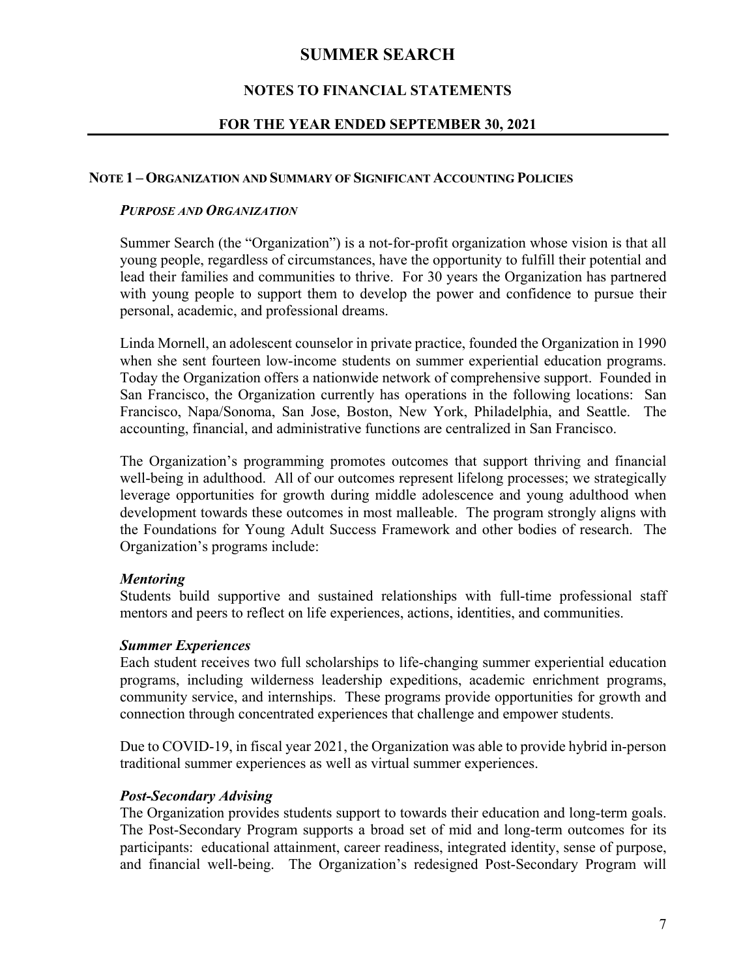# **NOTES TO FINANCIAL STATEMENTS**

# **FOR THE YEAR ENDED SEPTEMBER 30, 2021**

#### **NOTE 1 – ORGANIZATION AND SUMMARY OF SIGNIFICANT ACCOUNTING POLICIES**

#### *PURPOSE AND ORGANIZATION*

Summer Search (the "Organization") is a not-for-profit organization whose vision is that all young people, regardless of circumstances, have the opportunity to fulfill their potential and lead their families and communities to thrive. For 30 years the Organization has partnered with young people to support them to develop the power and confidence to pursue their personal, academic, and professional dreams.

Linda Mornell, an adolescent counselor in private practice, founded the Organization in 1990 when she sent fourteen low-income students on summer experiential education programs. Today the Organization offers a nationwide network of comprehensive support. Founded in San Francisco, the Organization currently has operations in the following locations: San Francisco, Napa/Sonoma, San Jose, Boston, New York, Philadelphia, and Seattle. The accounting, financial, and administrative functions are centralized in San Francisco.

The Organization's programming promotes outcomes that support thriving and financial well-being in adulthood. All of our outcomes represent lifelong processes; we strategically leverage opportunities for growth during middle adolescence and young adulthood when development towards these outcomes in most malleable. The program strongly aligns with the Foundations for Young Adult Success Framework and other bodies of research. The Organization's programs include:

## *Mentoring*

Students build supportive and sustained relationships with full-time professional staff mentors and peers to reflect on life experiences, actions, identities, and communities.

## *Summer Experiences*

Each student receives two full scholarships to life-changing summer experiential education programs, including wilderness leadership expeditions, academic enrichment programs, community service, and internships. These programs provide opportunities for growth and connection through concentrated experiences that challenge and empower students.

Due to COVID-19, in fiscal year 2021, the Organization was able to provide hybrid in-person traditional summer experiences as well as virtual summer experiences.

## *Post-Secondary Advising*

The Organization provides students support to towards their education and long-term goals. The Post-Secondary Program supports a broad set of mid and long-term outcomes for its participants: educational attainment, career readiness, integrated identity, sense of purpose, and financial well-being. The Organization's redesigned Post-Secondary Program will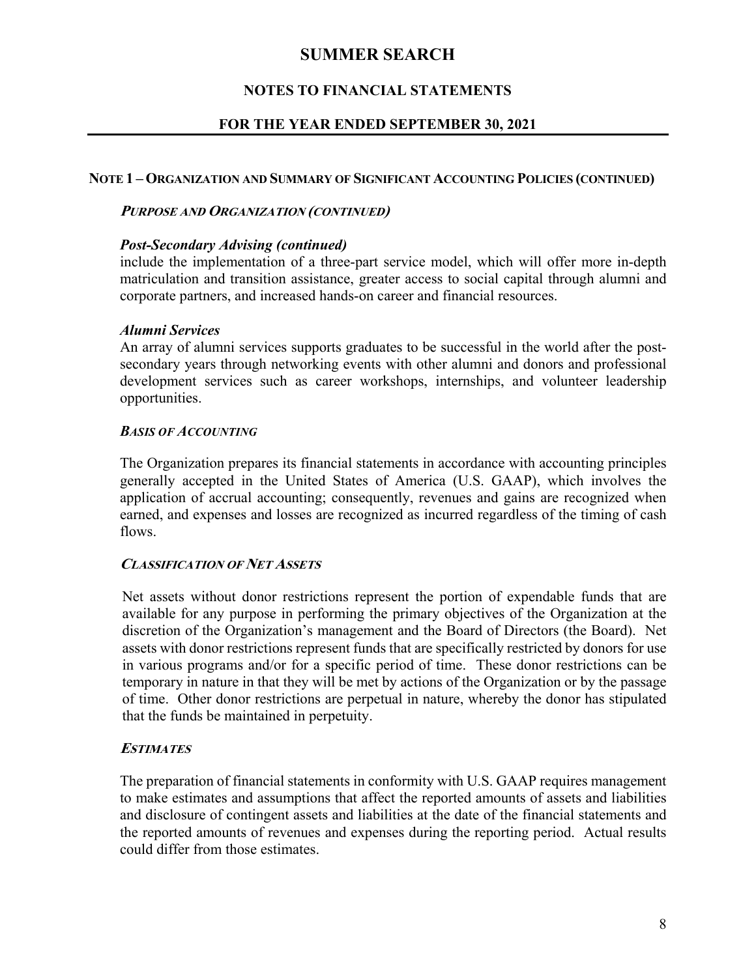# **NOTES TO FINANCIAL STATEMENTS**

# **FOR THE YEAR ENDED SEPTEMBER 30, 2021**

#### **NOTE 1 – ORGANIZATION AND SUMMARY OF SIGNIFICANT ACCOUNTING POLICIES (CONTINUED)**

#### **PURPOSE AND ORGANIZATION (CONTINUED)**

#### *Post-Secondary Advising (continued)*

include the implementation of a three-part service model, which will offer more in-depth matriculation and transition assistance, greater access to social capital through alumni and corporate partners, and increased hands-on career and financial resources.

#### *Alumni Services*

An array of alumni services supports graduates to be successful in the world after the postsecondary years through networking events with other alumni and donors and professional development services such as career workshops, internships, and volunteer leadership opportunities.

## *BASIS OF ACCOUNTING*

The Organization prepares its financial statements in accordance with accounting principles generally accepted in the United States of America (U.S. GAAP), which involves the application of accrual accounting; consequently, revenues and gains are recognized when earned, and expenses and losses are recognized as incurred regardless of the timing of cash flows.

## **CLASSIFICATION OF NET ASSETS**

Net assets without donor restrictions represent the portion of expendable funds that are available for any purpose in performing the primary objectives of the Organization at the discretion of the Organization's management and the Board of Directors (the Board). Net assets with donor restrictions represent funds that are specifically restricted by donors for use in various programs and/or for a specific period of time. These donor restrictions can be temporary in nature in that they will be met by actions of the Organization or by the passage of time. Other donor restrictions are perpetual in nature, whereby the donor has stipulated that the funds be maintained in perpetuity.

## **ESTIMATES**

The preparation of financial statements in conformity with U.S. GAAP requires management to make estimates and assumptions that affect the reported amounts of assets and liabilities and disclosure of contingent assets and liabilities at the date of the financial statements and the reported amounts of revenues and expenses during the reporting period. Actual results could differ from those estimates.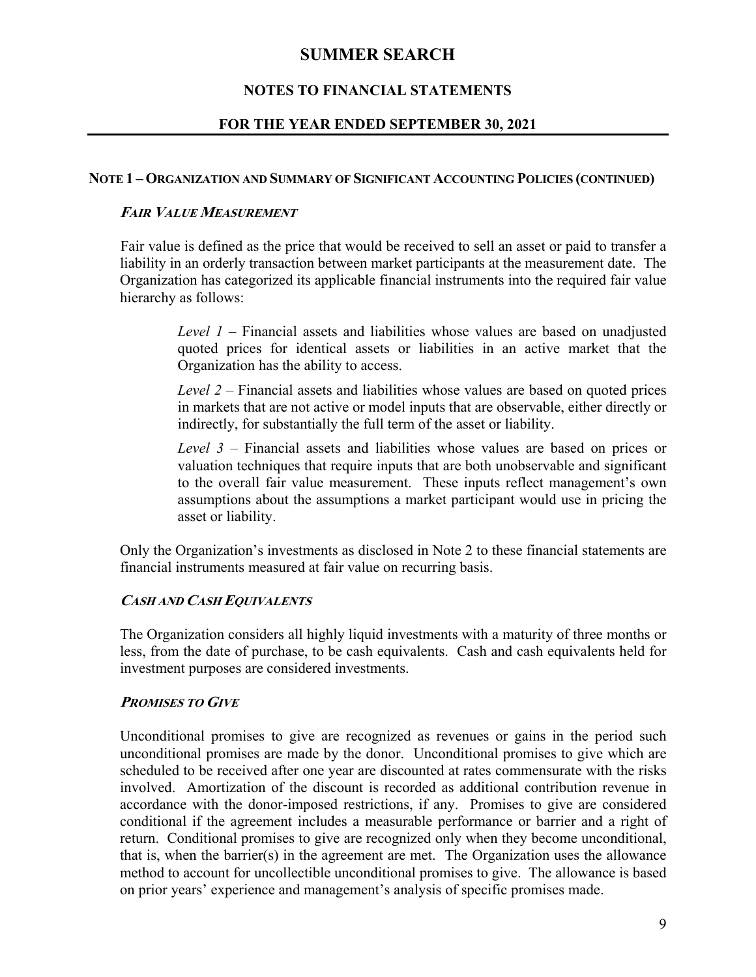# **NOTES TO FINANCIAL STATEMENTS**

## **FOR THE YEAR ENDED SEPTEMBER 30, 2021**

#### **NOTE 1 – ORGANIZATION AND SUMMARY OF SIGNIFICANT ACCOUNTING POLICIES (CONTINUED)**

## **FAIR VALUE MEASUREMENT**

Fair value is defined as the price that would be received to sell an asset or paid to transfer a liability in an orderly transaction between market participants at the measurement date. The Organization has categorized its applicable financial instruments into the required fair value hierarchy as follows:

> *Level 1 –* Financial assets and liabilities whose values are based on unadjusted quoted prices for identical assets or liabilities in an active market that the Organization has the ability to access.

> *Level 2 –* Financial assets and liabilities whose values are based on quoted prices in markets that are not active or model inputs that are observable, either directly or indirectly, for substantially the full term of the asset or liability.

> *Level 3 –* Financial assets and liabilities whose values are based on prices or valuation techniques that require inputs that are both unobservable and significant to the overall fair value measurement. These inputs reflect management's own assumptions about the assumptions a market participant would use in pricing the asset or liability.

Only the Organization's investments as disclosed in Note 2 to these financial statements are financial instruments measured at fair value on recurring basis.

## **CASH AND CASH EQUIVALENTS**

The Organization considers all highly liquid investments with a maturity of three months or less, from the date of purchase, to be cash equivalents. Cash and cash equivalents held for investment purposes are considered investments.

## **PROMISES TO GIVE**

Unconditional promises to give are recognized as revenues or gains in the period such unconditional promises are made by the donor. Unconditional promises to give which are scheduled to be received after one year are discounted at rates commensurate with the risks involved. Amortization of the discount is recorded as additional contribution revenue in accordance with the donor-imposed restrictions, if any. Promises to give are considered conditional if the agreement includes a measurable performance or barrier and a right of return. Conditional promises to give are recognized only when they become unconditional, that is, when the barrier(s) in the agreement are met. The Organization uses the allowance method to account for uncollectible unconditional promises to give. The allowance is based on prior years' experience and management's analysis of specific promises made.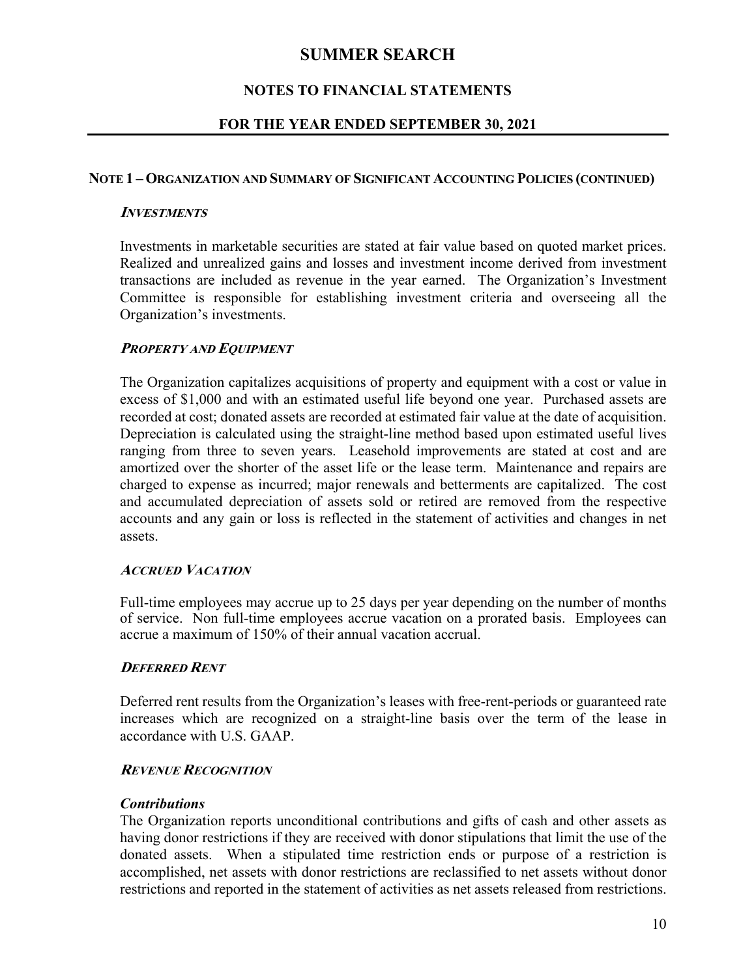# **NOTES TO FINANCIAL STATEMENTS**

# **FOR THE YEAR ENDED SEPTEMBER 30, 2021**

#### **NOTE 1 – ORGANIZATION AND SUMMARY OF SIGNIFICANT ACCOUNTING POLICIES (CONTINUED)**

#### **INVESTMENTS**

Investments in marketable securities are stated at fair value based on quoted market prices. Realized and unrealized gains and losses and investment income derived from investment transactions are included as revenue in the year earned. The Organization's Investment Committee is responsible for establishing investment criteria and overseeing all the Organization's investments.

## **PROPERTY AND EQUIPMENT**

The Organization capitalizes acquisitions of property and equipment with a cost or value in excess of \$1,000 and with an estimated useful life beyond one year. Purchased assets are recorded at cost; donated assets are recorded at estimated fair value at the date of acquisition. Depreciation is calculated using the straight-line method based upon estimated useful lives ranging from three to seven years. Leasehold improvements are stated at cost and are amortized over the shorter of the asset life or the lease term. Maintenance and repairs are charged to expense as incurred; major renewals and betterments are capitalized. The cost and accumulated depreciation of assets sold or retired are removed from the respective accounts and any gain or loss is reflected in the statement of activities and changes in net assets.

## **ACCRUED VACATION**

Full-time employees may accrue up to 25 days per year depending on the number of months of service. Non full-time employees accrue vacation on a prorated basis. Employees can accrue a maximum of 150% of their annual vacation accrual.

## **DEFERRED RENT**

Deferred rent results from the Organization's leases with free-rent-periods or guaranteed rate increases which are recognized on a straight-line basis over the term of the lease in accordance with U.S. GAAP.

## **REVENUE RECOGNITION**

## *Contributions*

The Organization reports unconditional contributions and gifts of cash and other assets as having donor restrictions if they are received with donor stipulations that limit the use of the donated assets. When a stipulated time restriction ends or purpose of a restriction is accomplished, net assets with donor restrictions are reclassified to net assets without donor restrictions and reported in the statement of activities as net assets released from restrictions.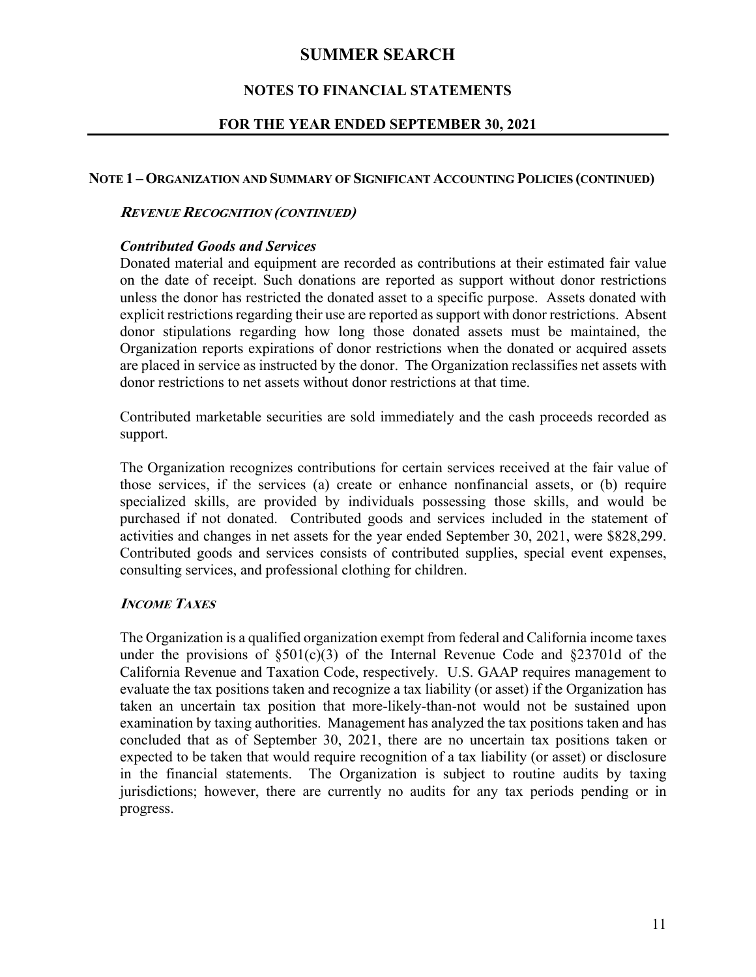# **NOTES TO FINANCIAL STATEMENTS**

## **FOR THE YEAR ENDED SEPTEMBER 30, 2021**

#### **NOTE 1 – ORGANIZATION AND SUMMARY OF SIGNIFICANT ACCOUNTING POLICIES (CONTINUED)**

## **REVENUE RECOGNITION (CONTINUED)**

#### *Contributed Goods and Services*

Donated material and equipment are recorded as contributions at their estimated fair value on the date of receipt. Such donations are reported as support without donor restrictions unless the donor has restricted the donated asset to a specific purpose. Assets donated with explicit restrictions regarding their use are reported as support with donor restrictions. Absent donor stipulations regarding how long those donated assets must be maintained, the Organization reports expirations of donor restrictions when the donated or acquired assets are placed in service as instructed by the donor. The Organization reclassifies net assets with donor restrictions to net assets without donor restrictions at that time.

Contributed marketable securities are sold immediately and the cash proceeds recorded as support.

The Organization recognizes contributions for certain services received at the fair value of those services, if the services (a) create or enhance nonfinancial assets, or (b) require specialized skills, are provided by individuals possessing those skills, and would be purchased if not donated. Contributed goods and services included in the statement of activities and changes in net assets for the year ended September 30, 2021, were \$828,299. Contributed goods and services consists of contributed supplies, special event expenses, consulting services, and professional clothing for children.

## **INCOME TAXES**

The Organization is a qualified organization exempt from federal and California income taxes under the provisions of  $\S501(c)(3)$  of the Internal Revenue Code and  $\S23701d$  of the California Revenue and Taxation Code, respectively. U.S. GAAP requires management to evaluate the tax positions taken and recognize a tax liability (or asset) if the Organization has taken an uncertain tax position that more-likely-than-not would not be sustained upon examination by taxing authorities. Management has analyzed the tax positions taken and has concluded that as of September 30, 2021, there are no uncertain tax positions taken or expected to be taken that would require recognition of a tax liability (or asset) or disclosure in the financial statements. The Organization is subject to routine audits by taxing jurisdictions; however, there are currently no audits for any tax periods pending or in progress.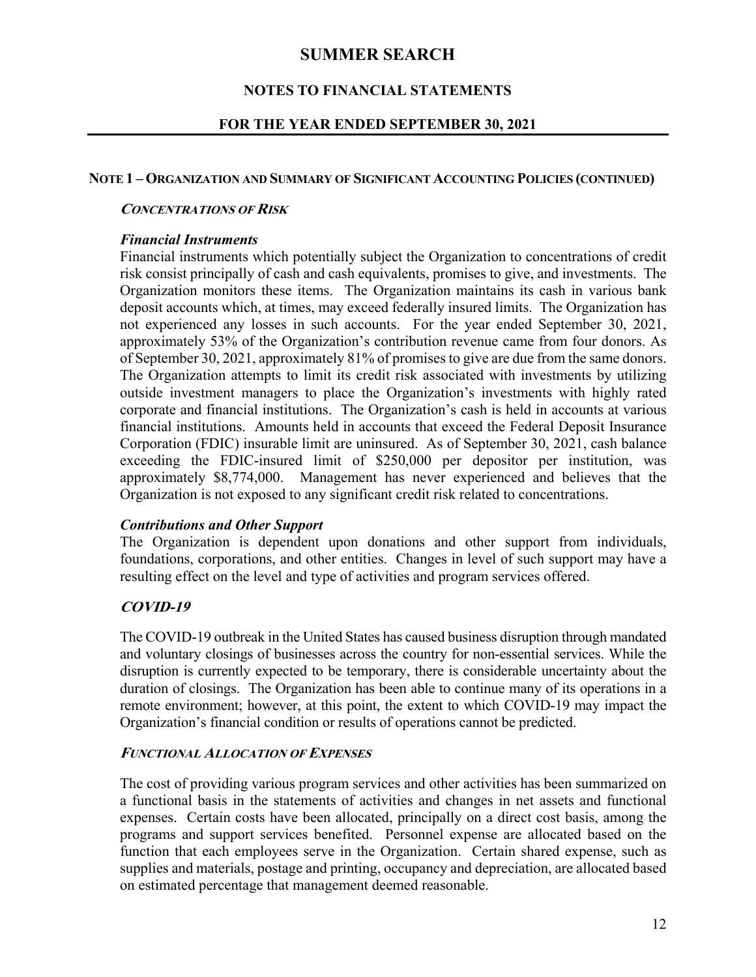# **NOTES TO FINANCIAL STATEMENTS**

## **FOR THE YEAR ENDED SEPTEMBER 30, 2021**

#### **NOTE 1 – ORGANIZATION AND SUMMARY OF SIGNIFICANT ACCOUNTING POLICIES (CONTINUED)**

#### **CONCENTRATIONS OF RISK**

#### *Financial Instruments*

Financial instruments which potentially subject the Organization to concentrations of credit risk consist principally of cash and cash equivalents, promises to give, and investments. The Organization monitors these items. The Organization maintains its cash in various bank deposit accounts which, at times, may exceed federally insured limits. The Organization has not experienced any losses in such accounts. For the year ended September 30, 2021, approximately 53% of the Organization's contribution revenue came from four donors. As of September 30, 2021, approximately 81% of promises to give are due from the same donors. The Organization attempts to limit its credit risk associated with investments by utilizing outside investment managers to place the Organization's investments with highly rated corporate and financial institutions. The Organization's cash is held in accounts at various financial institutions. Amounts held in accounts that exceed the Federal Deposit Insurance Corporation (FDIC) insurable limit are uninsured. As of September 30, 2021, cash balance exceeding the FDIC-insured limit of \$250,000 per depositor per institution, was approximately \$8,774,000. Management has never experienced and believes that the Organization is not exposed to any significant credit risk related to concentrations.

## *Contributions and Other Support*

The Organization is dependent upon donations and other support from individuals, foundations, corporations, and other entities. Changes in level of such support may have a resulting effect on the level and type of activities and program services offered.

## **COVID-19**

The COVID-19 outbreak in the United States has caused business disruption through mandated and voluntary closings of businesses across the country for non-essential services. While the disruption is currently expected to be temporary, there is considerable uncertainty about the duration of closings. The Organization has been able to continue many of its operations in a remote environment; however, at this point, the extent to which COVID-19 may impact the Organization's financial condition or results of operations cannot be predicted.

## **FUNCTIONAL ALLOCATION OF EXPENSES**

The cost of providing various program services and other activities has been summarized on a functional basis in the statements of activities and changes in net assets and functional expenses. Certain costs have been allocated, principally on a direct cost basis, among the programs and support services benefited. Personnel expense are allocated based on the function that each employees serve in the Organization. Certain shared expense, such as supplies and materials, postage and printing, occupancy and depreciation, are allocated based on estimated percentage that management deemed reasonable.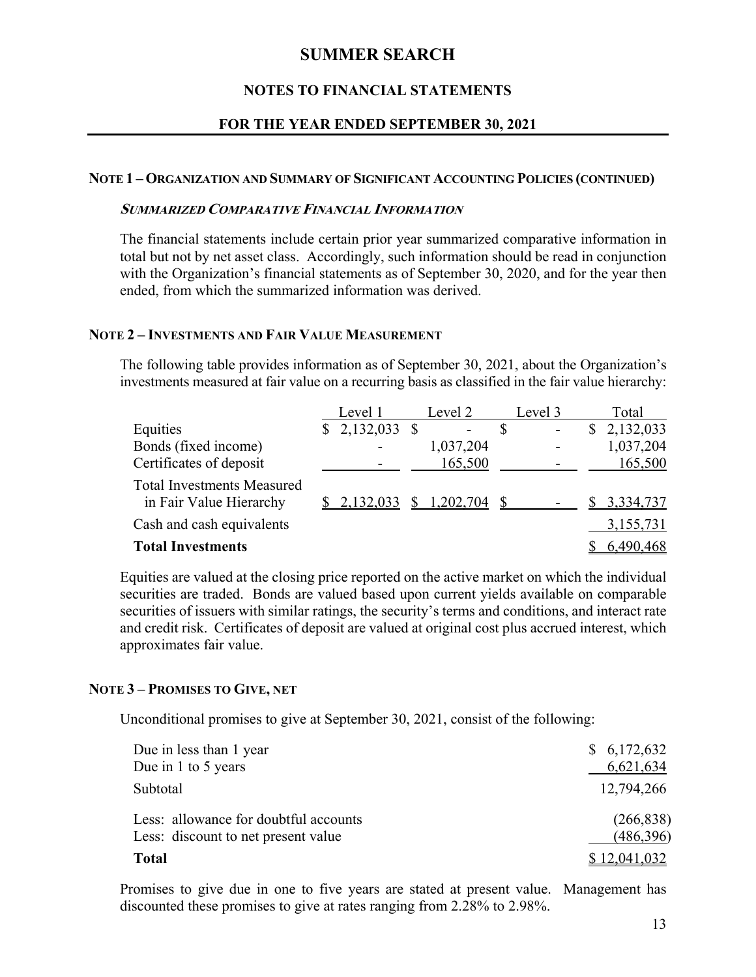## **NOTES TO FINANCIAL STATEMENTS**

#### **FOR THE YEAR ENDED SEPTEMBER 30, 2021**

#### **NOTE 1 – ORGANIZATION AND SUMMARY OF SIGNIFICANT ACCOUNTING POLICIES (CONTINUED)**

#### **SUMMARIZED COMPARATIVE FINANCIAL INFORMATION**

The financial statements include certain prior year summarized comparative information in total but not by net asset class. Accordingly, such information should be read in conjunction with the Organization's financial statements as of September 30, 2020, and for the year then ended, from which the summarized information was derived.

#### **NOTE 2 – INVESTMENTS AND FAIR VALUE MEASUREMENT**

The following table provides information as of September 30, 2021, about the Organization's investments measured at fair value on a recurring basis as classified in the fair value hierarchy:

|                                                              | Level 1     | Level 2   | Level 3 |    | Total     |
|--------------------------------------------------------------|-------------|-----------|---------|----|-----------|
| Equities                                                     | \$2,132,033 | -         |         | S. | 2,132,033 |
| Bonds (fixed income)                                         |             | 1,037,204 |         |    | 1,037,204 |
| Certificates of deposit                                      |             | 165,500   |         |    | 165,500   |
| <b>Total Investments Measured</b><br>in Fair Value Hierarchy | 2,132,033   | 1,202,704 |         |    | 3,334,737 |
| Cash and cash equivalents                                    |             |           |         |    | 3,155,731 |
| <b>Total Investments</b>                                     |             |           |         |    | 6,490,468 |

Equities are valued at the closing price reported on the active market on which the individual securities are traded. Bonds are valued based upon current yields available on comparable securities of issuers with similar ratings, the security's terms and conditions, and interact rate and credit risk. Certificates of deposit are valued at original cost plus accrued interest, which approximates fair value.

#### **NOTE 3 – PROMISES TO GIVE, NET**

Unconditional promises to give at September 30, 2021, consist of the following:

| Due in less than 1 year               | \$6,172,632  |
|---------------------------------------|--------------|
| Due in 1 to 5 years                   | 6,621,634    |
| Subtotal                              | 12,794,266   |
| Less: allowance for doubtful accounts | (266, 838)   |
| Less: discount to net present value   | (486,396)    |
| <b>Total</b>                          | \$12,041,032 |

Promises to give due in one to five years are stated at present value. Management has discounted these promises to give at rates ranging from 2.28% to 2.98%.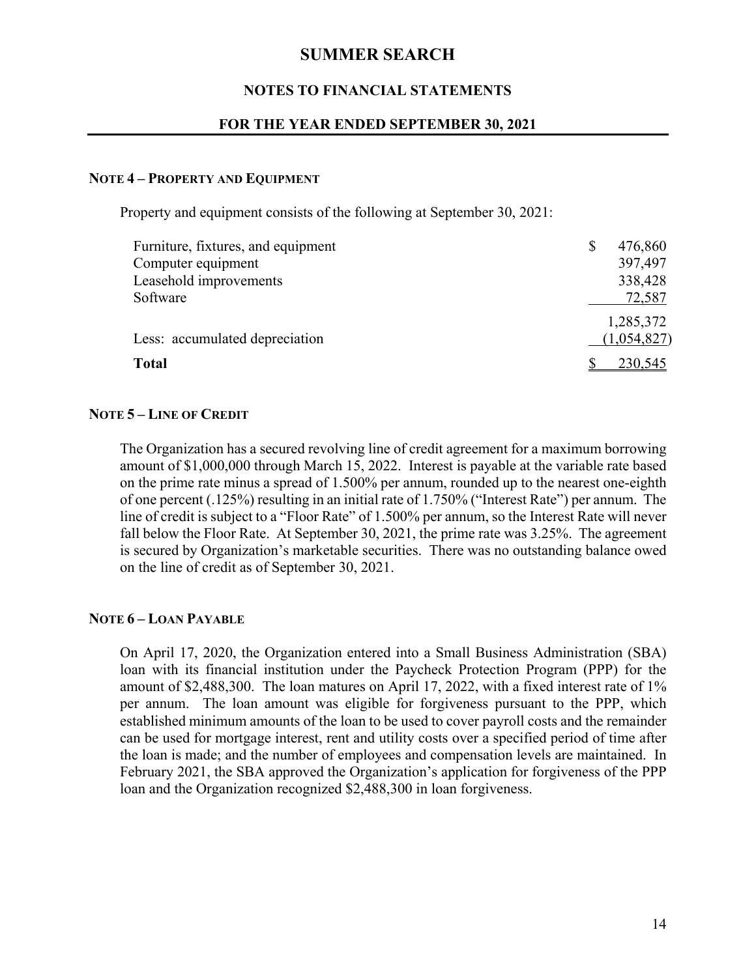## **NOTES TO FINANCIAL STATEMENTS**

#### **FOR THE YEAR ENDED SEPTEMBER 30, 2021**

#### **NOTE 4 – PROPERTY AND EQUIPMENT**

Property and equipment consists of the following at September 30, 2021:

| Furniture, fixtures, and equipment | \$<br>476,860 |
|------------------------------------|---------------|
| Computer equipment                 | 397,497       |
| Leasehold improvements             | 338,428       |
| Software                           | 72,587        |
|                                    | 1,285,372     |
| Less: accumulated depreciation     | (1,054,827)   |
| <b>Total</b>                       | 230,545       |

#### **NOTE 5 – LINE OF CREDIT**

The Organization has a secured revolving line of credit agreement for a maximum borrowing amount of \$1,000,000 through March 15, 2022. Interest is payable at the variable rate based on the prime rate minus a spread of 1.500% per annum, rounded up to the nearest one-eighth of one percent (.125%) resulting in an initial rate of 1.750% ("Interest Rate") per annum. The line of credit is subject to a "Floor Rate" of 1.500% per annum, so the Interest Rate will never fall below the Floor Rate. At September 30, 2021, the prime rate was 3.25%. The agreement is secured by Organization's marketable securities. There was no outstanding balance owed on the line of credit as of September 30, 2021.

## **NOTE 6 – LOAN PAYABLE**

On April 17, 2020, the Organization entered into a Small Business Administration (SBA) loan with its financial institution under the Paycheck Protection Program (PPP) for the amount of \$2,488,300. The loan matures on April 17, 2022, with a fixed interest rate of 1% per annum. The loan amount was eligible for forgiveness pursuant to the PPP, which established minimum amounts of the loan to be used to cover payroll costs and the remainder can be used for mortgage interest, rent and utility costs over a specified period of time after the loan is made; and the number of employees and compensation levels are maintained. In February 2021, the SBA approved the Organization's application for forgiveness of the PPP loan and the Organization recognized \$2,488,300 in loan forgiveness.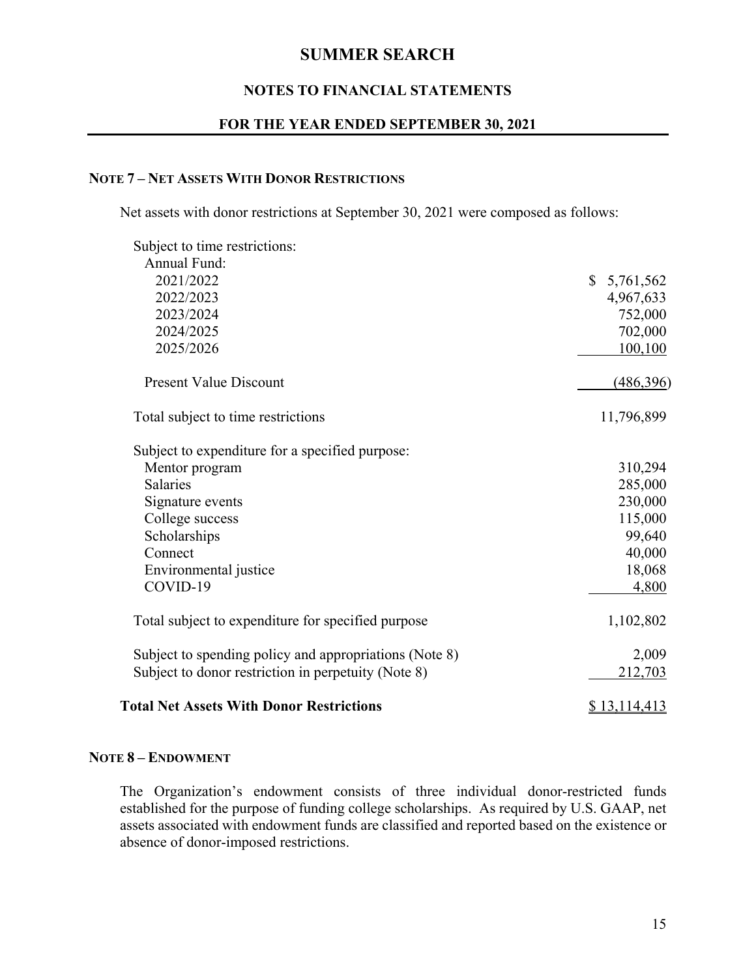# **NOTES TO FINANCIAL STATEMENTS**

#### **FOR THE YEAR ENDED SEPTEMBER 30, 2021**

## **NOTE 7 – NET ASSETS WITH DONOR RESTRICTIONS**

Net assets with donor restrictions at September 30, 2021 were composed as follows:

| Subject to time restrictions:<br>Annual Fund:          |                           |
|--------------------------------------------------------|---------------------------|
| 2021/2022                                              | $\mathbb{S}$<br>5,761,562 |
| 2022/2023                                              |                           |
| 2023/2024                                              | 4,967,633                 |
|                                                        | 752,000                   |
| 2024/2025                                              | 702,000                   |
| 2025/2026                                              | 100,100                   |
| <b>Present Value Discount</b>                          | (486,396)                 |
| Total subject to time restrictions                     | 11,796,899                |
| Subject to expenditure for a specified purpose:        |                           |
| Mentor program                                         | 310,294                   |
| <b>Salaries</b>                                        | 285,000                   |
| Signature events                                       | 230,000                   |
| College success                                        | 115,000                   |
| Scholarships                                           | 99,640                    |
| Connect                                                | 40,000                    |
| Environmental justice                                  | 18,068                    |
| COVID-19                                               | 4,800                     |
| Total subject to expenditure for specified purpose     | 1,102,802                 |
| Subject to spending policy and appropriations (Note 8) | 2,009                     |
| Subject to donor restriction in perpetuity (Note 8)    | 212,703                   |
| <b>Total Net Assets With Donor Restrictions</b>        | \$13,114,413              |

#### **NOTE 8 – ENDOWMENT**

The Organization's endowment consists of three individual donor-restricted funds established for the purpose of funding college scholarships. As required by U.S. GAAP, net assets associated with endowment funds are classified and reported based on the existence or absence of donor-imposed restrictions.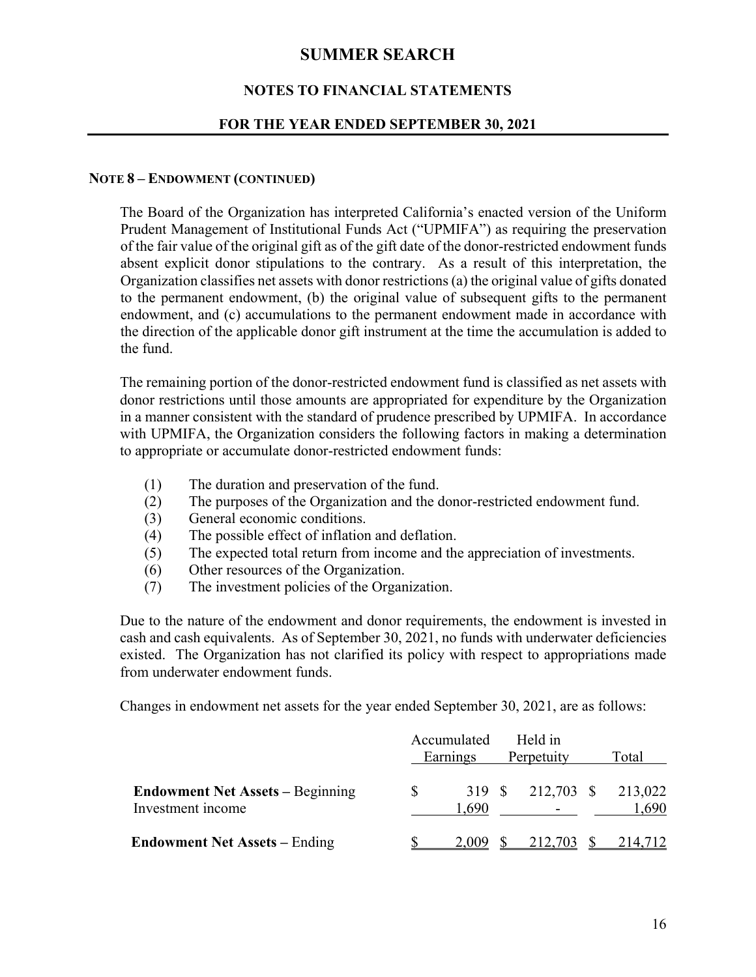## **NOTES TO FINANCIAL STATEMENTS**

#### **FOR THE YEAR ENDED SEPTEMBER 30, 2021**

#### **NOTE 8 – ENDOWMENT (CONTINUED)**

The Board of the Organization has interpreted California's enacted version of the Uniform Prudent Management of Institutional Funds Act ("UPMIFA") as requiring the preservation of the fair value of the original gift as of the gift date of the donor-restricted endowment funds absent explicit donor stipulations to the contrary. As a result of this interpretation, the Organization classifies net assets with donor restrictions(a) the original value of gifts donated to the permanent endowment, (b) the original value of subsequent gifts to the permanent endowment, and (c) accumulations to the permanent endowment made in accordance with the direction of the applicable donor gift instrument at the time the accumulation is added to the fund.

The remaining portion of the donor-restricted endowment fund is classified as net assets with donor restrictions until those amounts are appropriated for expenditure by the Organization in a manner consistent with the standard of prudence prescribed by UPMIFA. In accordance with UPMIFA, the Organization considers the following factors in making a determination to appropriate or accumulate donor-restricted endowment funds:

- (1) The duration and preservation of the fund.
- (2) The purposes of the Organization and the donor-restricted endowment fund.
- (3) General economic conditions.
- (4) The possible effect of inflation and deflation.
- (5) The expected total return from income and the appreciation of investments.
- (6) Other resources of the Organization.
- (7) The investment policies of the Organization.

Due to the nature of the endowment and donor requirements, the endowment is invested in cash and cash equivalents. As of September 30, 2021, no funds with underwater deficiencies existed. The Organization has not clarified its policy with respect to appropriations made from underwater endowment funds.

Changes in endowment net assets for the year ended September 30, 2021, are as follows:

|                                                              |    | Accumulated<br>Earnings |  | Held in<br>Perpetuity  | Total           |
|--------------------------------------------------------------|----|-------------------------|--|------------------------|-----------------|
| <b>Endowment Net Assets - Beginning</b><br>Investment income | S. | 1,690                   |  | 319 \$ 212,703 \$<br>- | 213,022<br>.690 |
| <b>Endowment Net Assets – Ending</b>                         |    | 2.009                   |  | 212.703                | 214.712         |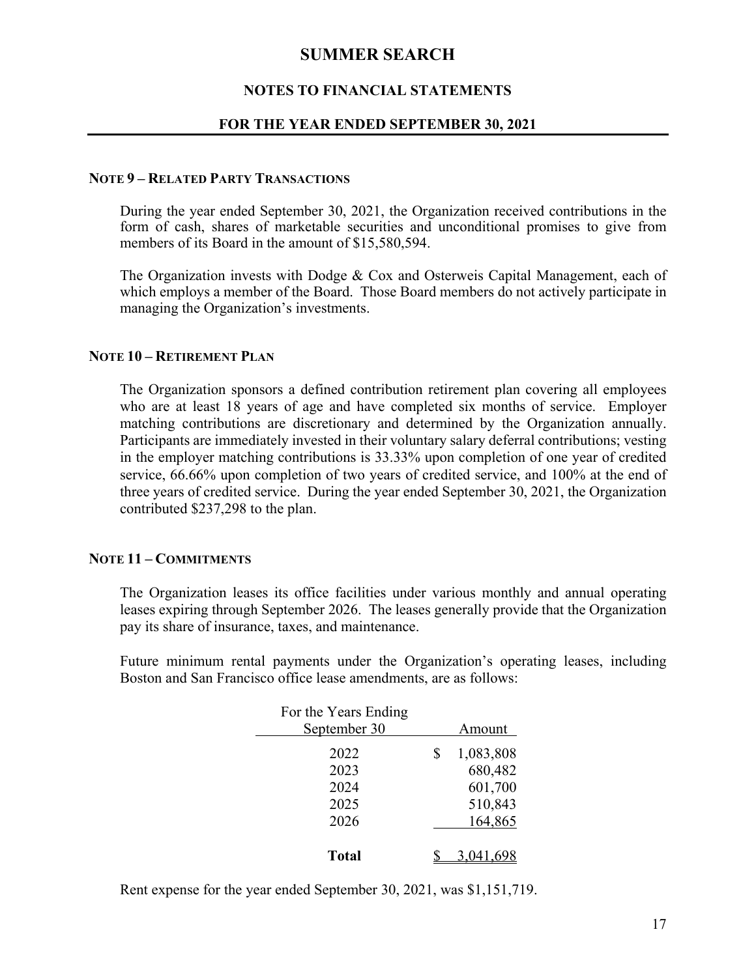## **NOTES TO FINANCIAL STATEMENTS**

#### **FOR THE YEAR ENDED SEPTEMBER 30, 2021**

#### **NOTE 9 – RELATED PARTY TRANSACTIONS**

During the year ended September 30, 2021, the Organization received contributions in the form of cash, shares of marketable securities and unconditional promises to give from members of its Board in the amount of \$15,580,594.

The Organization invests with Dodge & Cox and Osterweis Capital Management, each of which employs a member of the Board. Those Board members do not actively participate in managing the Organization's investments.

#### **NOTE 10 – RETIREMENT PLAN**

The Organization sponsors a defined contribution retirement plan covering all employees who are at least 18 years of age and have completed six months of service. Employer matching contributions are discretionary and determined by the Organization annually. Participants are immediately invested in their voluntary salary deferral contributions; vesting in the employer matching contributions is 33.33% upon completion of one year of credited service, 66.66% upon completion of two years of credited service, and 100% at the end of three years of credited service. During the year ended September 30, 2021, the Organization contributed \$237,298 to the plan.

#### **NOTE 11 – COMMITMENTS**

The Organization leases its office facilities under various monthly and annual operating leases expiring through September 2026. The leases generally provide that the Organization pay its share of insurance, taxes, and maintenance.

Future minimum rental payments under the Organization's operating leases, including Boston and San Francisco office lease amendments, are as follows:

| For the Years Ending<br>September 30 |   | Amount               |
|--------------------------------------|---|----------------------|
| 2022                                 |   |                      |
| 2023                                 | S | 1,083,808<br>680,482 |
| 2024                                 |   | 601,700              |
| 2025                                 |   | 510,843              |
| 2026                                 |   | 164,865              |
| Total                                |   | 3.041.               |

Rent expense for the year ended September 30, 2021, was \$1,151,719.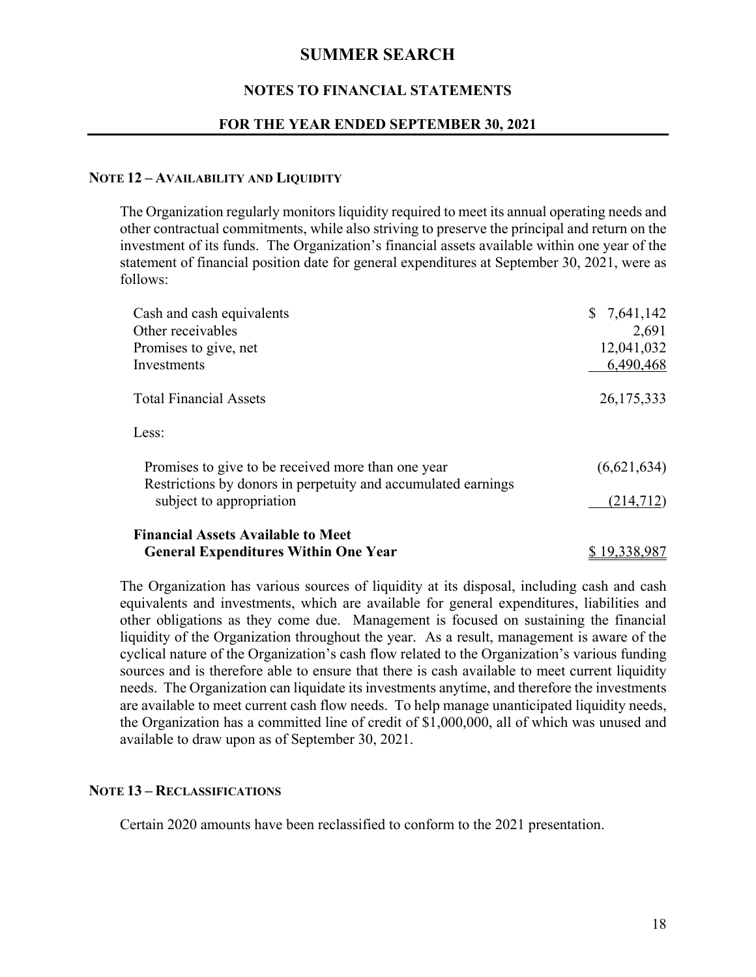## **NOTES TO FINANCIAL STATEMENTS**

#### **FOR THE YEAR ENDED SEPTEMBER 30, 2021**

#### **NOTE 12 – AVAILABILITY AND LIQUIDITY**

The Organization regularly monitors liquidity required to meet its annual operating needs and other contractual commitments, while also striving to preserve the principal and return on the investment of its funds. The Organization's financial assets available within one year of the statement of financial position date for general expenditures at September 30, 2021, were as follows:

| Cash and cash equivalents                                                                                           | \$7,641,142 |
|---------------------------------------------------------------------------------------------------------------------|-------------|
| Other receivables                                                                                                   | 2,691       |
| Promises to give, net                                                                                               | 12,041,032  |
| Investments                                                                                                         | 6,490,468   |
| <b>Total Financial Assets</b>                                                                                       | 26,175,333  |
| Less:                                                                                                               |             |
| Promises to give to be received more than one year<br>Restrictions by donors in perpetuity and accumulated earnings | (6,621,634) |
| subject to appropriation                                                                                            | (214, 712)  |
| <b>Financial Assets Available to Meet</b>                                                                           |             |
| <b>General Expenditures Within One Year</b>                                                                         | 19,338,987  |

The Organization has various sources of liquidity at its disposal, including cash and cash equivalents and investments, which are available for general expenditures, liabilities and other obligations as they come due. Management is focused on sustaining the financial liquidity of the Organization throughout the year. As a result, management is aware of the cyclical nature of the Organization's cash flow related to the Organization's various funding sources and is therefore able to ensure that there is cash available to meet current liquidity needs. The Organization can liquidate its investments anytime, and therefore the investments are available to meet current cash flow needs. To help manage unanticipated liquidity needs, the Organization has a committed line of credit of \$1,000,000, all of which was unused and available to draw upon as of September 30, 2021.

#### **NOTE 13 – RECLASSIFICATIONS**

Certain 2020 amounts have been reclassified to conform to the 2021 presentation.